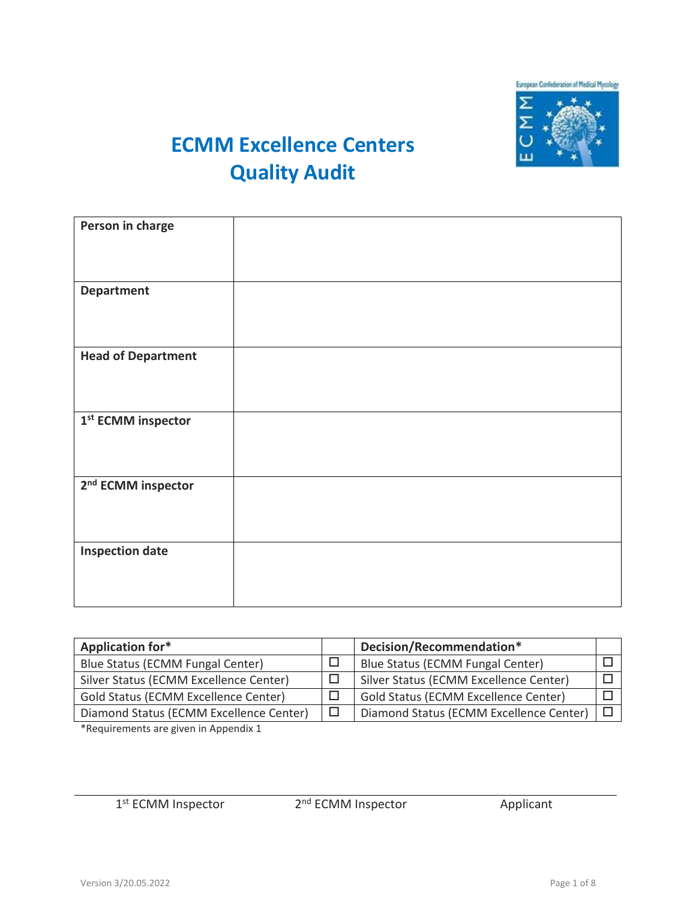

## **ECMM Excellence Centers Quality Audit**

| Person in charge               |  |
|--------------------------------|--|
|                                |  |
|                                |  |
|                                |  |
|                                |  |
|                                |  |
| <b>Department</b>              |  |
|                                |  |
|                                |  |
|                                |  |
|                                |  |
|                                |  |
| <b>Head of Department</b>      |  |
|                                |  |
|                                |  |
|                                |  |
|                                |  |
|                                |  |
|                                |  |
| 1 <sup>st</sup> ECMM inspector |  |
|                                |  |
|                                |  |
|                                |  |
|                                |  |
|                                |  |
| 2 <sup>nd</sup> ECMM inspector |  |
|                                |  |
|                                |  |
|                                |  |
|                                |  |
|                                |  |
|                                |  |
| <b>Inspection date</b>         |  |
|                                |  |
|                                |  |
|                                |  |
|                                |  |
|                                |  |

| Application for*                            | Decision/Recommendation*                    |  |
|---------------------------------------------|---------------------------------------------|--|
| Blue Status (ECMM Fungal Center)            | Blue Status (ECMM Fungal Center)            |  |
| Silver Status (ECMM Excellence Center)      | Silver Status (ECMM Excellence Center)      |  |
| <b>Gold Status (ECMM Excellence Center)</b> | <b>Gold Status (ECMM Excellence Center)</b> |  |
| Diamond Status (ECMM Excellence Center)     | Diamond Status (ECMM Excellence Center)     |  |
| . <u>.</u>                                  |                                             |  |

\*Requirements are given in Appendix 1

1<sup>st</sup> ECMM Inspector 2

2<sup>nd</sup> ECMM Inspector Applicant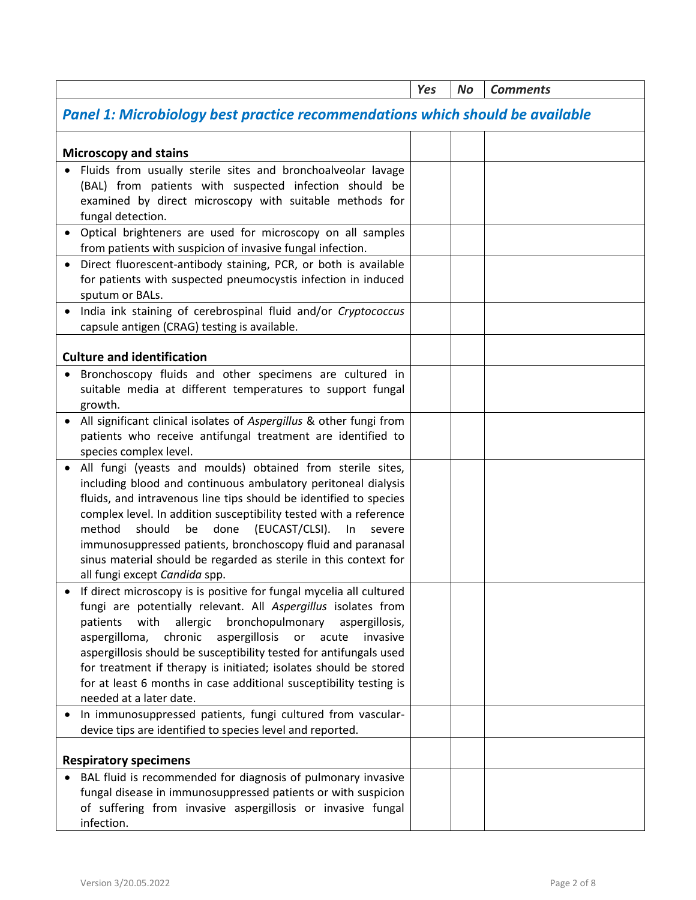|                                                                                                                                                                                                                                                                                                                                                                                                                                                                                                                                                                                                                                                           | Yes | <b>No</b> | <b>Comments</b> |
|-----------------------------------------------------------------------------------------------------------------------------------------------------------------------------------------------------------------------------------------------------------------------------------------------------------------------------------------------------------------------------------------------------------------------------------------------------------------------------------------------------------------------------------------------------------------------------------------------------------------------------------------------------------|-----|-----------|-----------------|
| Panel 1: Microbiology best practice recommendations which should be available                                                                                                                                                                                                                                                                                                                                                                                                                                                                                                                                                                             |     |           |                 |
| <b>Microscopy and stains</b>                                                                                                                                                                                                                                                                                                                                                                                                                                                                                                                                                                                                                              |     |           |                 |
| Fluids from usually sterile sites and bronchoalveolar lavage<br>(BAL) from patients with suspected infection should be<br>examined by direct microscopy with suitable methods for<br>fungal detection.                                                                                                                                                                                                                                                                                                                                                                                                                                                    |     |           |                 |
| Optical brighteners are used for microscopy on all samples<br>from patients with suspicion of invasive fungal infection.                                                                                                                                                                                                                                                                                                                                                                                                                                                                                                                                  |     |           |                 |
| Direct fluorescent-antibody staining, PCR, or both is available<br>for patients with suspected pneumocystis infection in induced<br>sputum or BALs.                                                                                                                                                                                                                                                                                                                                                                                                                                                                                                       |     |           |                 |
| India ink staining of cerebrospinal fluid and/or Cryptococcus<br>capsule antigen (CRAG) testing is available.                                                                                                                                                                                                                                                                                                                                                                                                                                                                                                                                             |     |           |                 |
| <b>Culture and identification</b>                                                                                                                                                                                                                                                                                                                                                                                                                                                                                                                                                                                                                         |     |           |                 |
| Bronchoscopy fluids and other specimens are cultured in<br>suitable media at different temperatures to support fungal<br>growth.                                                                                                                                                                                                                                                                                                                                                                                                                                                                                                                          |     |           |                 |
| All significant clinical isolates of Aspergillus & other fungi from<br>patients who receive antifungal treatment are identified to<br>species complex level.                                                                                                                                                                                                                                                                                                                                                                                                                                                                                              |     |           |                 |
| All fungi (yeasts and moulds) obtained from sterile sites,<br>including blood and continuous ambulatory peritoneal dialysis<br>fluids, and intravenous line tips should be identified to species<br>complex level. In addition susceptibility tested with a reference<br>done<br>(EUCAST/CLSI).<br>method<br>should<br>be<br>In<br>severe<br>immunosuppressed patients, bronchoscopy fluid and paranasal<br>sinus material should be regarded as sterile in this context for<br>all fungi except Candida spp.                                                                                                                                             |     |           |                 |
| If direct microscopy is is positive for fungal mycelia all cultured<br>fungi are potentially relevant. All Aspergillus isolates from<br>allergic<br>bronchopulmonary<br>patients<br>with<br>aspergillosis,<br>aspergilloma,<br>chronic<br>aspergillosis<br>or<br>acute<br>invasive<br>aspergillosis should be susceptibility tested for antifungals used<br>for treatment if therapy is initiated; isolates should be stored<br>for at least 6 months in case additional susceptibility testing is<br>needed at a later date.<br>In immunosuppressed patients, fungi cultured from vascular-<br>device tips are identified to species level and reported. |     |           |                 |
| <b>Respiratory specimens</b>                                                                                                                                                                                                                                                                                                                                                                                                                                                                                                                                                                                                                              |     |           |                 |
| BAL fluid is recommended for diagnosis of pulmonary invasive<br>fungal disease in immunosuppressed patients or with suspicion<br>of suffering from invasive aspergillosis or invasive fungal<br>infection.                                                                                                                                                                                                                                                                                                                                                                                                                                                |     |           |                 |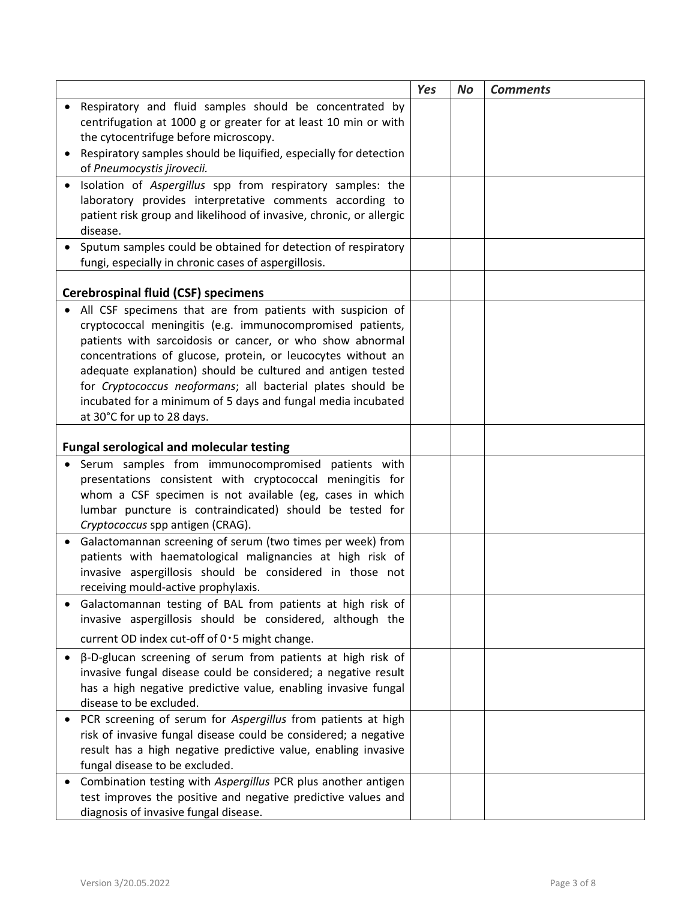|           |                                                                                                                                                                  | <b>Yes</b> | <b>No</b> | <b>Comments</b> |
|-----------|------------------------------------------------------------------------------------------------------------------------------------------------------------------|------------|-----------|-----------------|
|           | Respiratory and fluid samples should be concentrated by                                                                                                          |            |           |                 |
|           | centrifugation at 1000 g or greater for at least 10 min or with                                                                                                  |            |           |                 |
|           | the cytocentrifuge before microscopy.                                                                                                                            |            |           |                 |
|           | Respiratory samples should be liquified, especially for detection<br>of Pneumocystis jirovecii.                                                                  |            |           |                 |
|           | Isolation of Aspergillus spp from respiratory samples: the                                                                                                       |            |           |                 |
|           | laboratory provides interpretative comments according to                                                                                                         |            |           |                 |
|           | patient risk group and likelihood of invasive, chronic, or allergic                                                                                              |            |           |                 |
|           | disease.                                                                                                                                                         |            |           |                 |
|           | Sputum samples could be obtained for detection of respiratory                                                                                                    |            |           |                 |
|           | fungi, especially in chronic cases of aspergillosis.                                                                                                             |            |           |                 |
|           |                                                                                                                                                                  |            |           |                 |
|           | <b>Cerebrospinal fluid (CSF) specimens</b>                                                                                                                       |            |           |                 |
|           | All CSF specimens that are from patients with suspicion of                                                                                                       |            |           |                 |
|           | cryptococcal meningitis (e.g. immunocompromised patients,                                                                                                        |            |           |                 |
|           | patients with sarcoidosis or cancer, or who show abnormal<br>concentrations of glucose, protein, or leucocytes without an                                        |            |           |                 |
|           | adequate explanation) should be cultured and antigen tested                                                                                                      |            |           |                 |
|           | for Cryptococcus neoformans; all bacterial plates should be                                                                                                      |            |           |                 |
|           | incubated for a minimum of 5 days and fungal media incubated                                                                                                     |            |           |                 |
|           | at 30°C for up to 28 days.                                                                                                                                       |            |           |                 |
|           |                                                                                                                                                                  |            |           |                 |
|           | <b>Fungal serological and molecular testing</b>                                                                                                                  |            |           |                 |
|           | Serum samples from immunocompromised patients with                                                                                                               |            |           |                 |
|           | presentations consistent with cryptococcal meningitis for                                                                                                        |            |           |                 |
|           | whom a CSF specimen is not available (eg, cases in which                                                                                                         |            |           |                 |
|           | lumbar puncture is contraindicated) should be tested for                                                                                                         |            |           |                 |
| $\bullet$ | Cryptococcus spp antigen (CRAG).<br>Galactomannan screening of serum (two times per week) from                                                                   |            |           |                 |
|           | patients with haematological malignancies at high risk of                                                                                                        |            |           |                 |
|           | invasive aspergillosis should be considered in those not                                                                                                         |            |           |                 |
|           | receiving mould-active prophylaxis.                                                                                                                              |            |           |                 |
|           | Galactomannan testing of BAL from patients at high risk of                                                                                                       |            |           |                 |
|           | invasive aspergillosis should be considered, although the                                                                                                        |            |           |                 |
|           | current OD index cut-off of 0.5 might change.                                                                                                                    |            |           |                 |
| $\bullet$ | $\beta$ -D-glucan screening of serum from patients at high risk of                                                                                               |            |           |                 |
|           | invasive fungal disease could be considered; a negative result                                                                                                   |            |           |                 |
|           | has a high negative predictive value, enabling invasive fungal                                                                                                   |            |           |                 |
|           | disease to be excluded.                                                                                                                                          |            |           |                 |
|           | PCR screening of serum for Aspergillus from patients at high                                                                                                     |            |           |                 |
|           | risk of invasive fungal disease could be considered; a negative                                                                                                  |            |           |                 |
|           | result has a high negative predictive value, enabling invasive                                                                                                   |            |           |                 |
|           |                                                                                                                                                                  |            |           |                 |
|           |                                                                                                                                                                  |            |           |                 |
|           | diagnosis of invasive fungal disease.                                                                                                                            |            |           |                 |
|           | fungal disease to be excluded.<br>Combination testing with Aspergillus PCR plus another antigen<br>test improves the positive and negative predictive values and |            |           |                 |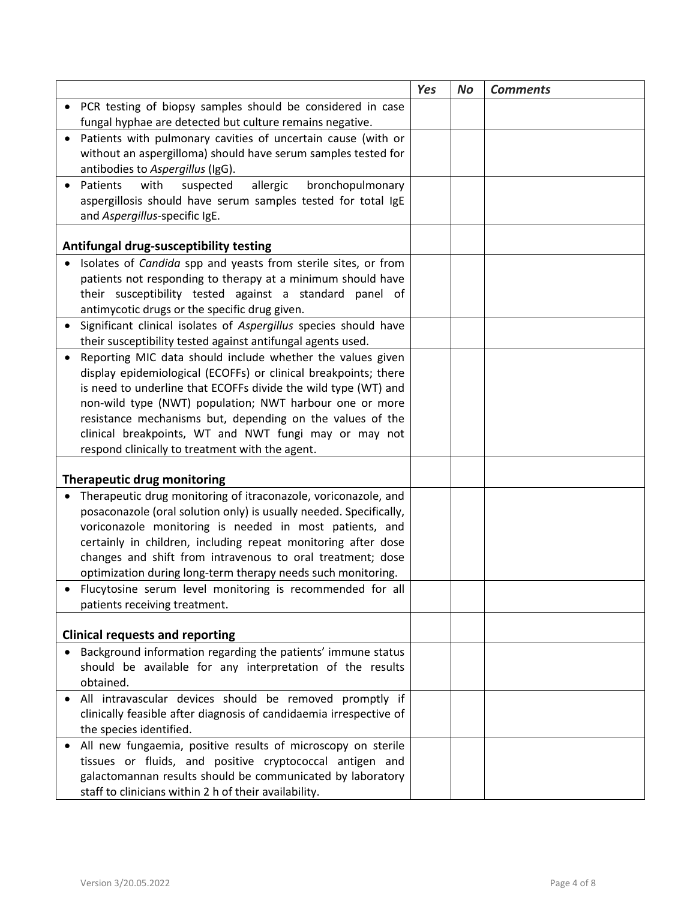|                                                                       | <b>Yes</b> | <b>No</b> | <b>Comments</b> |
|-----------------------------------------------------------------------|------------|-----------|-----------------|
| PCR testing of biopsy samples should be considered in case            |            |           |                 |
| fungal hyphae are detected but culture remains negative.              |            |           |                 |
| Patients with pulmonary cavities of uncertain cause (with or          |            |           |                 |
| without an aspergilloma) should have serum samples tested for         |            |           |                 |
| antibodies to Aspergillus (IgG).                                      |            |           |                 |
| Patients<br>with<br>suspected<br>allergic<br>bronchopulmonary         |            |           |                 |
| aspergillosis should have serum samples tested for total IgE          |            |           |                 |
| and Aspergillus-specific IgE.                                         |            |           |                 |
|                                                                       |            |           |                 |
| Antifungal drug-susceptibility testing                                |            |           |                 |
| Isolates of <i>Candida</i> spp and yeasts from sterile sites, or from |            |           |                 |
| patients not responding to therapy at a minimum should have           |            |           |                 |
| their susceptibility tested against a standard panel of               |            |           |                 |
| antimycotic drugs or the specific drug given.                         |            |           |                 |
| Significant clinical isolates of Aspergillus species should have      |            |           |                 |
| their susceptibility tested against antifungal agents used.           |            |           |                 |
| Reporting MIC data should include whether the values given            |            |           |                 |
| display epidemiological (ECOFFs) or clinical breakpoints; there       |            |           |                 |
| is need to underline that ECOFFs divide the wild type (WT) and        |            |           |                 |
| non-wild type (NWT) population; NWT harbour one or more               |            |           |                 |
| resistance mechanisms but, depending on the values of the             |            |           |                 |
| clinical breakpoints, WT and NWT fungi may or may not                 |            |           |                 |
| respond clinically to treatment with the agent.                       |            |           |                 |
| <b>Therapeutic drug monitoring</b>                                    |            |           |                 |
| Therapeutic drug monitoring of itraconazole, voriconazole, and        |            |           |                 |
| posaconazole (oral solution only) is usually needed. Specifically,    |            |           |                 |
| voriconazole monitoring is needed in most patients, and               |            |           |                 |
| certainly in children, including repeat monitoring after dose         |            |           |                 |
| changes and shift from intravenous to oral treatment; dose            |            |           |                 |
| optimization during long-term therapy needs such monitoring.          |            |           |                 |
| Flucytosine serum level monitoring is recommended for all             |            |           |                 |
| patients receiving treatment.                                         |            |           |                 |
|                                                                       |            |           |                 |
| <b>Clinical requests and reporting</b>                                |            |           |                 |
| Background information regarding the patients' immune status          |            |           |                 |
| should be available for any interpretation of the results             |            |           |                 |
| obtained.                                                             |            |           |                 |
| All intravascular devices should be removed promptly if               |            |           |                 |
| clinically feasible after diagnosis of candidaemia irrespective of    |            |           |                 |
| the species identified.                                               |            |           |                 |
| All new fungaemia, positive results of microscopy on sterile          |            |           |                 |
| tissues or fluids, and positive cryptococcal antigen and              |            |           |                 |
| galactomannan results should be communicated by laboratory            |            |           |                 |
| staff to clinicians within 2 h of their availability.                 |            |           |                 |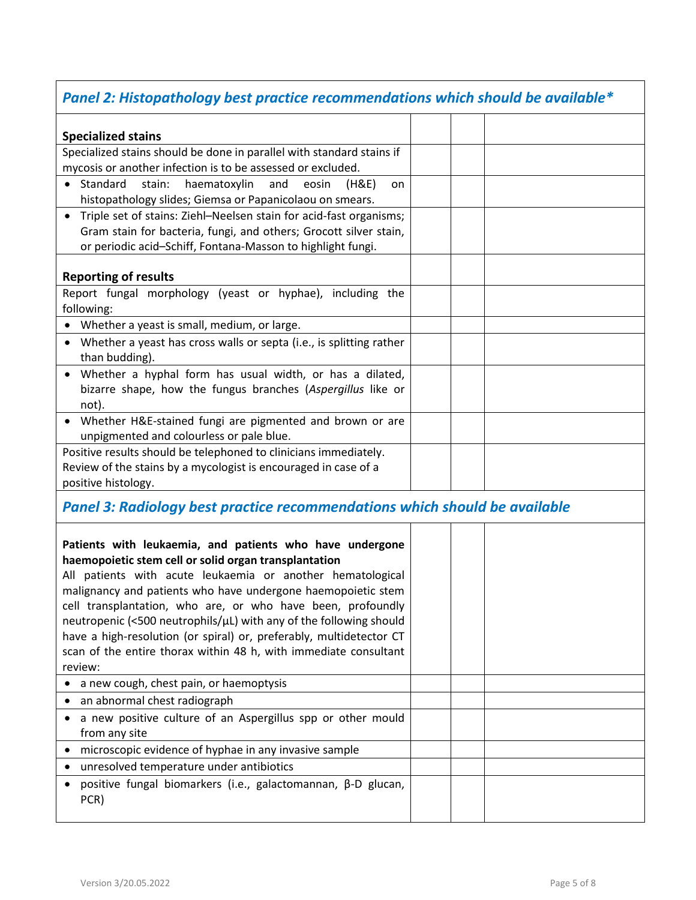## *Panel 2: Histopathology best practice recommendations which should be available\**

| <b>Specialized stains</b>                                                         |  |  |
|-----------------------------------------------------------------------------------|--|--|
| Specialized stains should be done in parallel with standard stains if             |  |  |
| mycosis or another infection is to be assessed or excluded.                       |  |  |
| • Standard<br>stain:<br>haematoxylin and<br>eosin<br>(H&E)<br>on                  |  |  |
| histopathology slides; Giemsa or Papanicolaou on smears.                          |  |  |
| Triple set of stains: Ziehl-Neelsen stain for acid-fast organisms;<br>$\bullet$   |  |  |
| Gram stain for bacteria, fungi, and others; Grocott silver stain,                 |  |  |
| or periodic acid-Schiff, Fontana-Masson to highlight fungi.                       |  |  |
|                                                                                   |  |  |
| <b>Reporting of results</b>                                                       |  |  |
| Report fungal morphology (yeast or hyphae), including the                         |  |  |
| following:                                                                        |  |  |
| • Whether a yeast is small, medium, or large.                                     |  |  |
| • Whether a yeast has cross walls or septa (i.e., is splitting rather             |  |  |
| than budding).                                                                    |  |  |
| • Whether a hyphal form has usual width, or has a dilated,                        |  |  |
| bizarre shape, how the fungus branches (Aspergillus like or                       |  |  |
| not).                                                                             |  |  |
| • Whether H&E-stained fungi are pigmented and brown or are                        |  |  |
| unpigmented and colourless or pale blue.                                          |  |  |
| Positive results should be telephoned to clinicians immediately.                  |  |  |
| Review of the stains by a mycologist is encouraged in case of a                   |  |  |
| positive histology.                                                               |  |  |
| <b>Panel 3: Radiology best practice recommendations which should be available</b> |  |  |

| Patients with leukaemia, and patients who have undergone<br>haemopoietic stem cell or solid organ transplantation<br>All patients with acute leukaemia or another hematological<br>malignancy and patients who have undergone haemopoietic stem<br>cell transplantation, who are, or who have been, profoundly<br>neutropenic (<500 neutrophils/ $\mu$ L) with any of the following should<br>have a high-resolution (or spiral) or, preferably, multidetector CT<br>scan of the entire thorax within 48 h, with immediate consultant<br>review: |  |  |
|--------------------------------------------------------------------------------------------------------------------------------------------------------------------------------------------------------------------------------------------------------------------------------------------------------------------------------------------------------------------------------------------------------------------------------------------------------------------------------------------------------------------------------------------------|--|--|
| • a new cough, chest pain, or haemoptysis                                                                                                                                                                                                                                                                                                                                                                                                                                                                                                        |  |  |
| • an abnormal chest radiograph                                                                                                                                                                                                                                                                                                                                                                                                                                                                                                                   |  |  |
| a new positive culture of an Aspergillus spp or other mould<br>from any site                                                                                                                                                                                                                                                                                                                                                                                                                                                                     |  |  |
| microscopic evidence of hyphae in any invasive sample                                                                                                                                                                                                                                                                                                                                                                                                                                                                                            |  |  |
| • unresolved temperature under antibiotics                                                                                                                                                                                                                                                                                                                                                                                                                                                                                                       |  |  |
| • positive fungal biomarkers (i.e., galactomannan, $\beta$ -D glucan,<br>PCR)                                                                                                                                                                                                                                                                                                                                                                                                                                                                    |  |  |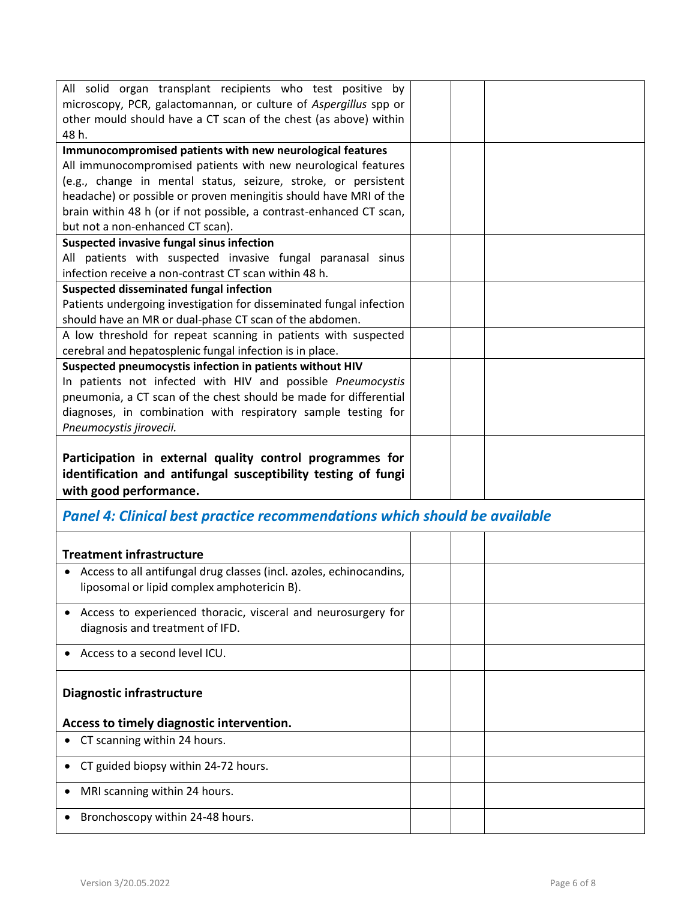| All solid organ transplant recipients who test positive by                                                                          |  |  |
|-------------------------------------------------------------------------------------------------------------------------------------|--|--|
| microscopy, PCR, galactomannan, or culture of Aspergillus spp or                                                                    |  |  |
| other mould should have a CT scan of the chest (as above) within                                                                    |  |  |
| 48 h.                                                                                                                               |  |  |
| Immunocompromised patients with new neurological features                                                                           |  |  |
| All immunocompromised patients with new neurological features                                                                       |  |  |
| (e.g., change in mental status, seizure, stroke, or persistent<br>headache) or possible or proven meningitis should have MRI of the |  |  |
|                                                                                                                                     |  |  |
| brain within 48 h (or if not possible, a contrast-enhanced CT scan,<br>but not a non-enhanced CT scan).                             |  |  |
| Suspected invasive fungal sinus infection                                                                                           |  |  |
| All patients with suspected invasive fungal paranasal sinus                                                                         |  |  |
| infection receive a non-contrast CT scan within 48 h.                                                                               |  |  |
| <b>Suspected disseminated fungal infection</b>                                                                                      |  |  |
| Patients undergoing investigation for disseminated fungal infection                                                                 |  |  |
| should have an MR or dual-phase CT scan of the abdomen.                                                                             |  |  |
| A low threshold for repeat scanning in patients with suspected                                                                      |  |  |
| cerebral and hepatosplenic fungal infection is in place.                                                                            |  |  |
| Suspected pneumocystis infection in patients without HIV                                                                            |  |  |
| In patients not infected with HIV and possible Pneumocystis                                                                         |  |  |
| pneumonia, a CT scan of the chest should be made for differential                                                                   |  |  |
| diagnoses, in combination with respiratory sample testing for                                                                       |  |  |
| Pneumocystis jirovecii.                                                                                                             |  |  |
|                                                                                                                                     |  |  |
|                                                                                                                                     |  |  |
| Participation in external quality control programmes for                                                                            |  |  |
| identification and antifungal susceptibility testing of fungi                                                                       |  |  |
| with good performance.                                                                                                              |  |  |
|                                                                                                                                     |  |  |
| <b>Panel 4: Clinical best practice recommendations which should be available</b>                                                    |  |  |
|                                                                                                                                     |  |  |
| <b>Treatment infrastructure</b>                                                                                                     |  |  |
| • Access to all antifungal drug classes (incl. azoles, echinocandins,                                                               |  |  |
| liposomal or lipid complex amphotericin B).                                                                                         |  |  |
|                                                                                                                                     |  |  |
| Access to experienced thoracic, visceral and neurosurgery for                                                                       |  |  |
| diagnosis and treatment of IFD.                                                                                                     |  |  |
| Access to a second level ICU.                                                                                                       |  |  |
|                                                                                                                                     |  |  |
|                                                                                                                                     |  |  |
| <b>Diagnostic infrastructure</b>                                                                                                    |  |  |
| Access to timely diagnostic intervention.                                                                                           |  |  |
| CT scanning within 24 hours.                                                                                                        |  |  |
|                                                                                                                                     |  |  |
| CT guided biopsy within 24-72 hours.<br>$\bullet$                                                                                   |  |  |
| MRI scanning within 24 hours.<br>٠                                                                                                  |  |  |
| • Bronchoscopy within 24-48 hours.                                                                                                  |  |  |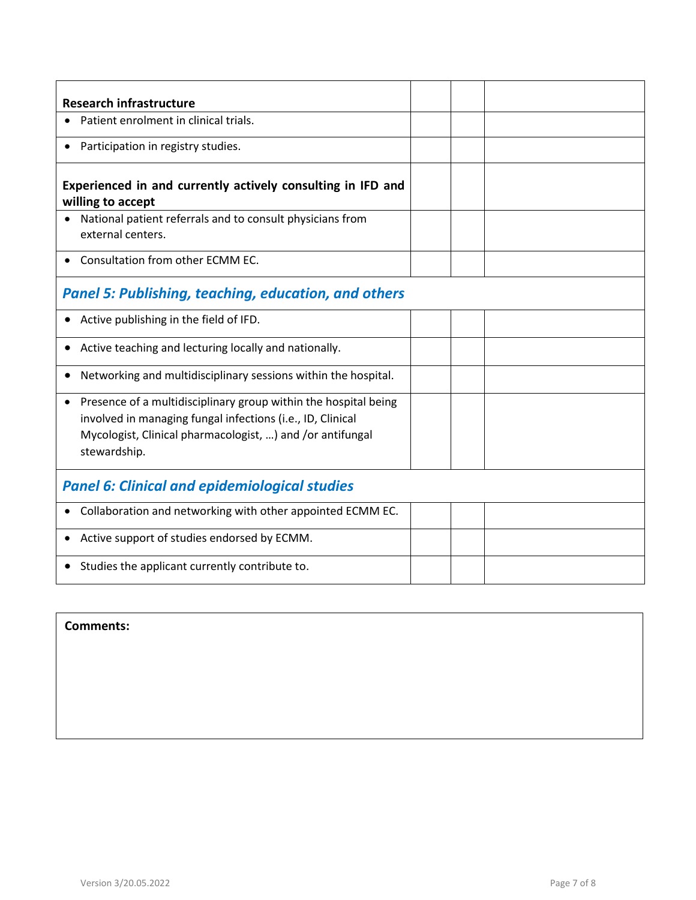| <b>Research infrastructure</b>                                                                                                                                                                                          |  |  |
|-------------------------------------------------------------------------------------------------------------------------------------------------------------------------------------------------------------------------|--|--|
| Patient enrolment in clinical trials.                                                                                                                                                                                   |  |  |
| Participation in registry studies.<br>$\bullet$                                                                                                                                                                         |  |  |
| Experienced in and currently actively consulting in IFD and<br>willing to accept                                                                                                                                        |  |  |
| National patient referrals and to consult physicians from<br>external centers.                                                                                                                                          |  |  |
| • Consultation from other ECMM EC.                                                                                                                                                                                      |  |  |
| <b>Panel 5: Publishing, teaching, education, and others</b>                                                                                                                                                             |  |  |
| Active publishing in the field of IFD.                                                                                                                                                                                  |  |  |
| Active teaching and lecturing locally and nationally.                                                                                                                                                                   |  |  |
| Networking and multidisciplinary sessions within the hospital.<br>$\bullet$                                                                                                                                             |  |  |
| Presence of a multidisciplinary group within the hospital being<br>$\bullet$<br>involved in managing fungal infections (i.e., ID, Clinical<br>Mycologist, Clinical pharmacologist, ) and /or antifungal<br>stewardship. |  |  |
| <b>Panel 6: Clinical and epidemiological studies</b>                                                                                                                                                                    |  |  |
| Collaboration and networking with other appointed ECMM EC.<br>$\bullet$                                                                                                                                                 |  |  |
| Active support of studies endorsed by ECMM.<br>$\bullet$                                                                                                                                                                |  |  |
| Studies the applicant currently contribute to.                                                                                                                                                                          |  |  |

## **Comments:**